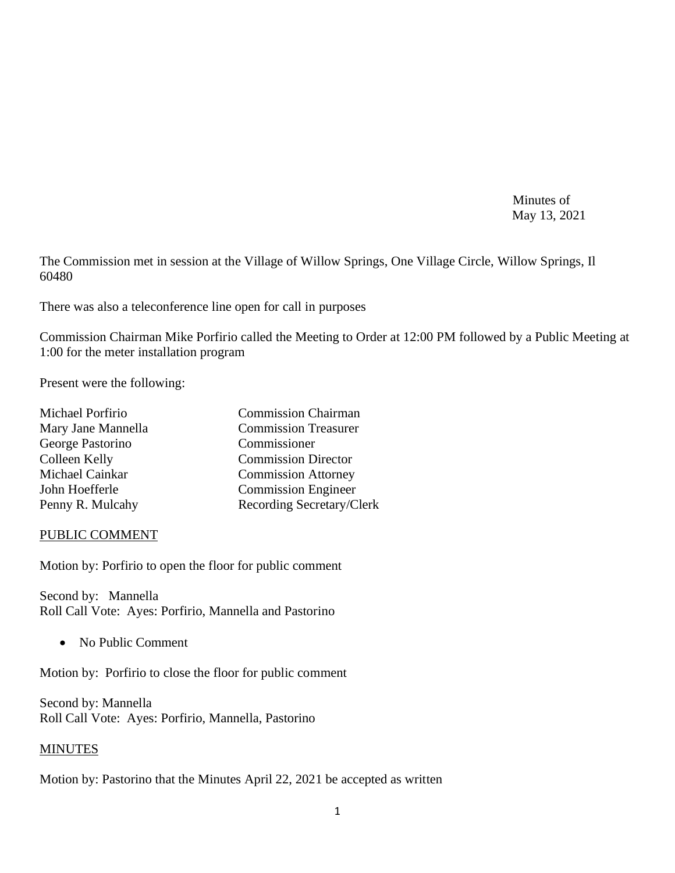Minutes of May 13, 2021

The Commission met in session at the Village of Willow Springs, One Village Circle, Willow Springs, Il 60480

There was also a teleconference line open for call in purposes

Commission Chairman Mike Porfirio called the Meeting to Order at 12:00 PM followed by a Public Meeting at 1:00 for the meter installation program

Present were the following:

| Michael Porfirio   | <b>Commission Chairman</b>  |
|--------------------|-----------------------------|
| Mary Jane Mannella | <b>Commission Treasurer</b> |
| George Pastorino   | Commissioner                |
| Colleen Kelly      | <b>Commission Director</b>  |
| Michael Cainkar    | <b>Commission Attorney</b>  |
| John Hoefferle     | <b>Commission Engineer</b>  |
| Penny R. Mulcahy   | Recording Secretary/Clerk   |
|                    |                             |

#### PUBLIC COMMENT

Motion by: Porfirio to open the floor for public comment

Second by: Mannella Roll Call Vote: Ayes: Porfirio, Mannella and Pastorino

• No Public Comment

Motion by: Porfirio to close the floor for public comment

Second by: Mannella Roll Call Vote: Ayes: Porfirio, Mannella, Pastorino

# MINUTES

Motion by: Pastorino that the Minutes April 22, 2021 be accepted as written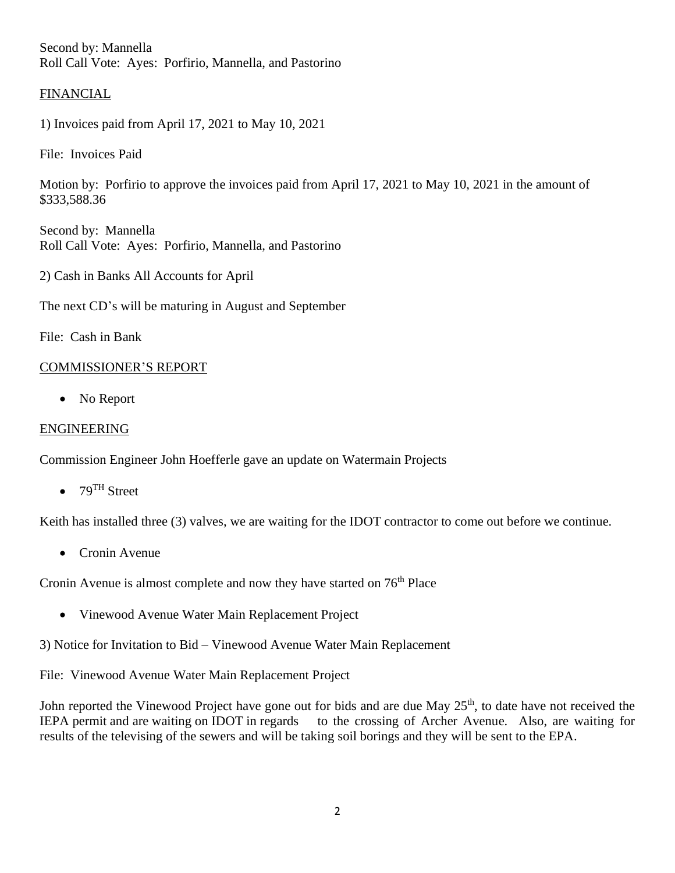Second by: Mannella Roll Call Vote: Ayes: Porfirio, Mannella, and Pastorino

### FINANCIAL

1) Invoices paid from April 17, 2021 to May 10, 2021

File: Invoices Paid

Motion by: Porfirio to approve the invoices paid from April 17, 2021 to May 10, 2021 in the amount of \$333,588.36

Second by: Mannella Roll Call Vote: Ayes: Porfirio, Mannella, and Pastorino

2) Cash in Banks All Accounts for April

The next CD's will be maturing in August and September

File: Cash in Bank

### COMMISSIONER'S REPORT

• No Report

### ENGINEERING

Commission Engineer John Hoefferle gave an update on Watermain Projects

•  $79<sup>TH</sup>$  Street

Keith has installed three (3) valves, we are waiting for the IDOT contractor to come out before we continue.

• Cronin Avenue

Cronin Avenue is almost complete and now they have started on 76<sup>th</sup> Place

• Vinewood Avenue Water Main Replacement Project

3) Notice for Invitation to Bid – Vinewood Avenue Water Main Replacement

File: Vinewood Avenue Water Main Replacement Project

John reported the Vinewood Project have gone out for bids and are due May 25<sup>th</sup>, to date have not received the IEPA permit and are waiting on IDOT in regards to the crossing of Archer Avenue. Also, are waiting for results of the televising of the sewers and will be taking soil borings and they will be sent to the EPA.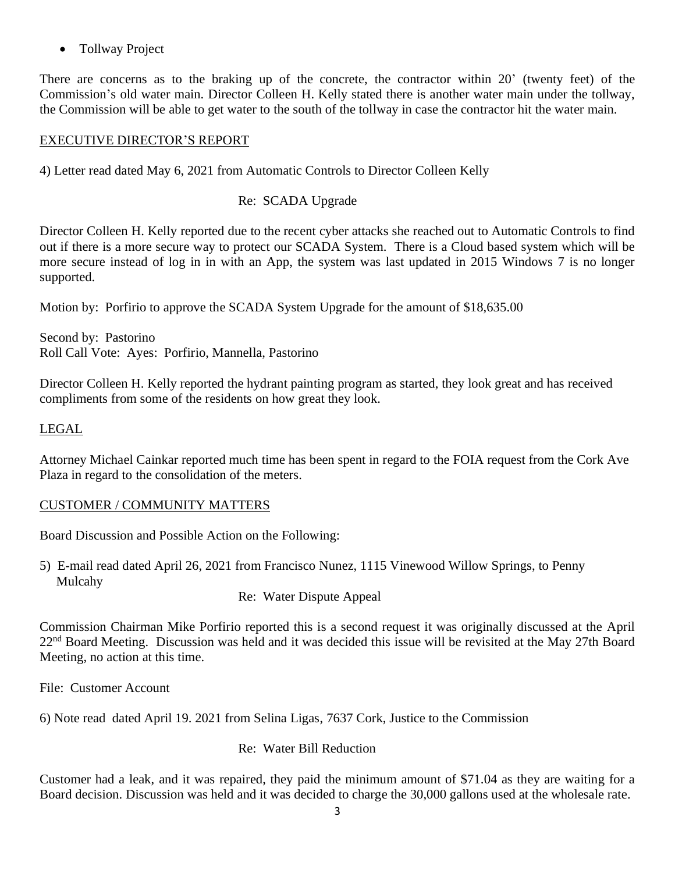• Tollway Project

There are concerns as to the braking up of the concrete, the contractor within 20' (twenty feet) of the Commission's old water main. Director Colleen H. Kelly stated there is another water main under the tollway, the Commission will be able to get water to the south of the tollway in case the contractor hit the water main.

### EXECUTIVE DIRECTOR'S REPORT

4) Letter read dated May 6, 2021 from Automatic Controls to Director Colleen Kelly

### Re: SCADA Upgrade

Director Colleen H. Kelly reported due to the recent cyber attacks she reached out to Automatic Controls to find out if there is a more secure way to protect our SCADA System. There is a Cloud based system which will be more secure instead of log in in with an App, the system was last updated in 2015 Windows 7 is no longer supported.

Motion by: Porfirio to approve the SCADA System Upgrade for the amount of \$18,635.00

Second by: Pastorino Roll Call Vote: Ayes: Porfirio, Mannella, Pastorino

Director Colleen H. Kelly reported the hydrant painting program as started, they look great and has received compliments from some of the residents on how great they look.

### LEGAL

Attorney Michael Cainkar reported much time has been spent in regard to the FOIA request from the Cork Ave Plaza in regard to the consolidation of the meters.

#### CUSTOMER / COMMUNITY MATTERS

Board Discussion and Possible Action on the Following:

5) E-mail read dated April 26, 2021 from Francisco Nunez, 1115 Vinewood Willow Springs, to Penny Mulcahy

Re: Water Dispute Appeal

Commission Chairman Mike Porfirio reported this is a second request it was originally discussed at the April 22<sup>nd</sup> Board Meeting. Discussion was held and it was decided this issue will be revisited at the May 27th Board Meeting, no action at this time.

File: Customer Account

6) Note read dated April 19. 2021 from Selina Ligas, 7637 Cork, Justice to the Commission

#### Re: Water Bill Reduction

Customer had a leak, and it was repaired, they paid the minimum amount of \$71.04 as they are waiting for a Board decision. Discussion was held and it was decided to charge the 30,000 gallons used at the wholesale rate.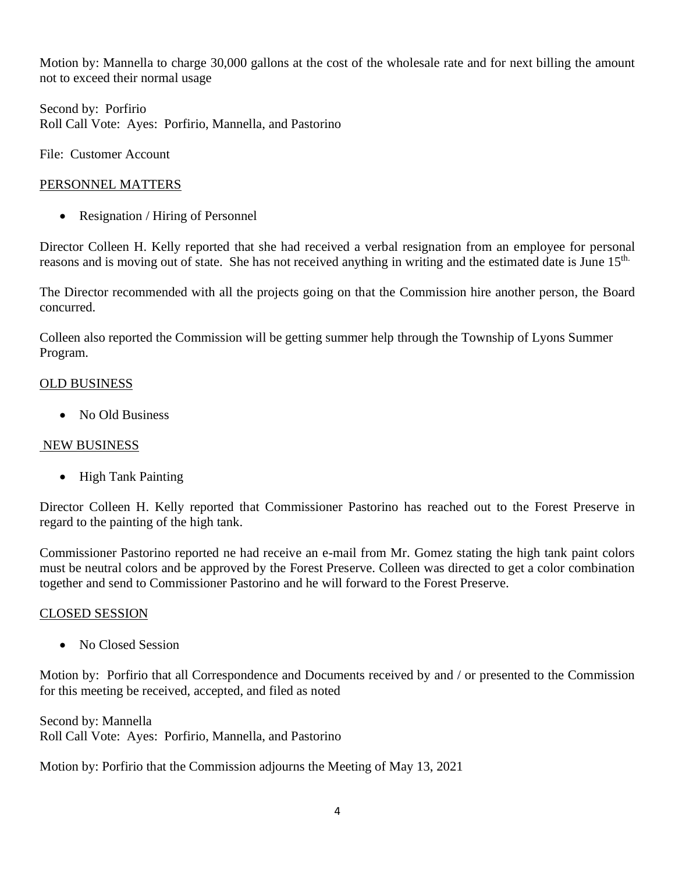Motion by: Mannella to charge 30,000 gallons at the cost of the wholesale rate and for next billing the amount not to exceed their normal usage

Second by: Porfirio Roll Call Vote: Ayes: Porfirio, Mannella, and Pastorino

File: Customer Account

# PERSONNEL MATTERS

• Resignation / Hiring of Personnel

Director Colleen H. Kelly reported that she had received a verbal resignation from an employee for personal reasons and is moving out of state. She has not received anything in writing and the estimated date is June 15th.

The Director recommended with all the projects going on that the Commission hire another person, the Board concurred.

Colleen also reported the Commission will be getting summer help through the Township of Lyons Summer Program.

# OLD BUSINESS

• No Old Business

# NEW BUSINESS

• High Tank Painting

Director Colleen H. Kelly reported that Commissioner Pastorino has reached out to the Forest Preserve in regard to the painting of the high tank.

Commissioner Pastorino reported ne had receive an e-mail from Mr. Gomez stating the high tank paint colors must be neutral colors and be approved by the Forest Preserve. Colleen was directed to get a color combination together and send to Commissioner Pastorino and he will forward to the Forest Preserve.

# CLOSED SESSION

• No Closed Session

Motion by: Porfirio that all Correspondence and Documents received by and / or presented to the Commission for this meeting be received, accepted, and filed as noted

Second by: Mannella Roll Call Vote: Ayes: Porfirio, Mannella, and Pastorino

Motion by: Porfirio that the Commission adjourns the Meeting of May 13, 2021